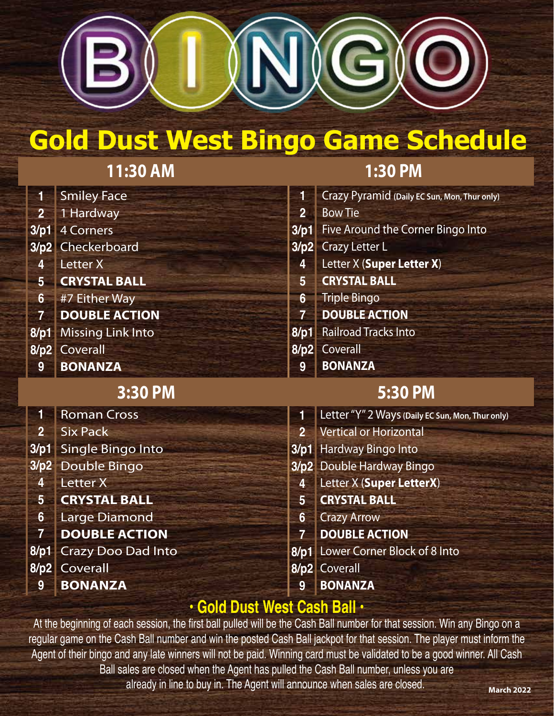

# **Gold Dust West Bingo Game Schedule**

# **11:30 AM 1:30 PM**

| 47              | <b>Smiley Face</b>     |                | Crazy Pyramid (Daily EC Sun, Mon, Thur only)  |  |
|-----------------|------------------------|----------------|-----------------------------------------------|--|
| $\overline{2}$  | 1 Hardway              | $\overline{2}$ | <b>Bow Tie</b>                                |  |
|                 | 3/p1 4 Corners         |                | <b>3/p1</b> Five Around the Corner Bingo Into |  |
|                 | 3/p2 Checkerboard      | 3/p2           | <b>Crazy Letter L</b>                         |  |
| $\overline{4}$  | Letter X               | 4              | Letter X (Super Letter X)                     |  |
| 5 <sub>1</sub>  | <b>CRYSTAL BALL</b>    | 5              | <b>CRYSTAL BALL</b>                           |  |
| $6\overline{6}$ | #7 Either Way          | 6              | Triple Bingo                                  |  |
| $-7$            | <b>DOUBLE ACTION</b>   |                | <b>DOUBLE ACTION</b>                          |  |
|                 | 8/p1 Missing Link Into |                | 8/p1 Railroad Tracks Into                     |  |
| 8/p2            | Coverall               | 8/p2           | Coverall                                      |  |
| 9               | <b>BONANZA</b>         | 9              | <b>BONANZA</b>                                |  |

# **3:30 PM 5:30 PM**

| 1                       | <b>Roman Cross</b>        |                | Letter "Y" 2 Ways (Daily EC Sun, Mon, Thur only) |  |
|-------------------------|---------------------------|----------------|--------------------------------------------------|--|
| 2 <sup>1</sup>          | <b>Six Pack</b>           | $\overline{2}$ | <b>Vertical or Horizontal</b>                    |  |
| 3/p1                    | Single Bingo Into         |                | 3/p1 Hardway Bingo Into                          |  |
|                         | 3/p2 Double Bingo         |                | 3/p2 Double Hardway Bingo                        |  |
| $\overline{\mathbf{4}}$ | <b>Letter X</b>           | 4              | Letter X (Super LetterX)                         |  |
| 5 <sup>5</sup>          | <b>CRYSTAL BALL</b>       | $\overline{5}$ | <b>CRYSTAL BALL</b>                              |  |
| $6\overline{6}$         | Large Diamond             | $6\phantom{a}$ | <b>Crazy Arrow</b>                               |  |
| $\mathbf{7}$            | <b>DOUBLE ACTION</b>      | $\overline{7}$ | <b>DOUBLE ACTION</b>                             |  |
| 8/p1                    | <b>Crazy Doo Dad Into</b> |                | 8/p1 Lower Corner Block of 8 Into                |  |
| 8/p2                    | Coverall                  |                | 8/p2 Coverall                                    |  |
| 9                       | <b>BONANZA</b>            | 9              | <b>BONANZA</b>                                   |  |

## **• Gold Dust West Cash Ball •**

**March 2022** At the beginning of each session, the first ball pulled will be the Cash Ball number for that session. Win any Bingo on a regular game on the Cash Ball number and win the posted Cash Ball jackpot for that session. The player must inform the Agent of their bingo and any late winners will not be paid. Winning card must be validated to be a good winner. All Cash Ball sales are closed when the Agent has pulled the Cash Ball number, unless you are already in line to buy in. The Agent will announce when sales are closed.